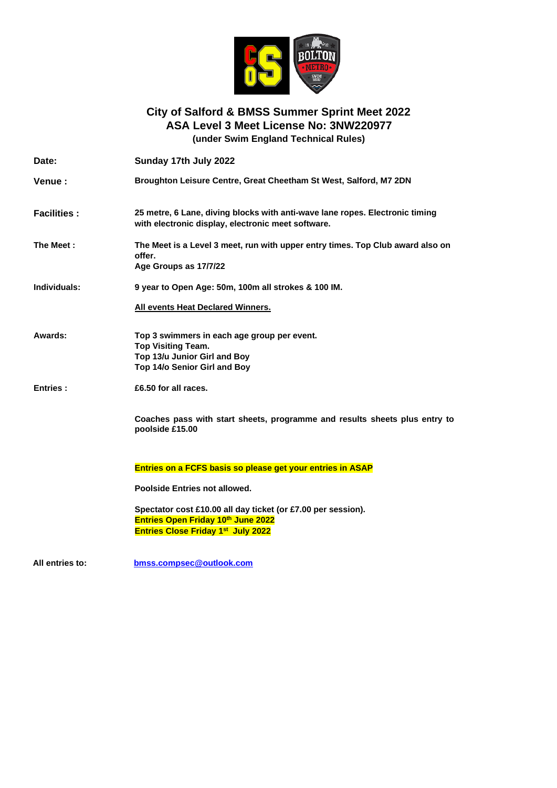

#### **City of Salford & BMSS Summer Sprint Meet 2022 ASA Level 3 Meet License No: 3NW220977 (under Swim England Technical Rules)**

**Date: Sunday 17th July 2022 Venue : Broughton Leisure Centre, Great Cheetham St West, Salford, M7 2DN Facilities : 25 metre, 6 Lane, diving blocks with anti-wave lane ropes. Electronic timing with electronic display, electronic meet software. The Meet : The Meet is a Level 3 meet, run with upper entry times. Top Club award also on offer. Age Groups as 17/7/22 Individuals: 9 year to Open Age: 50m, 100m all strokes & 100 IM. All events Heat Declared Winners. Awards: Top 3 swimmers in each age group per event. Top Visiting Team. Top 13/u Junior Girl and Boy Top 14/o Senior Girl and Boy Entries : £6.50 for all races. Coaches pass with start sheets, programme and results sheets plus entry to poolside £15.00 Entries on a FCFS basis so please get your entries in ASAP Poolside Entries not allowed. Spectator cost £10.00 all day ticket (or £7.00 per session). Entries Open Friday 10 th June 2022 Entries Close Friday 1st July 2022** 

**All entries to: [bmss.compsec@outlook.com](mailto:bmss.compsec@outlook.com)**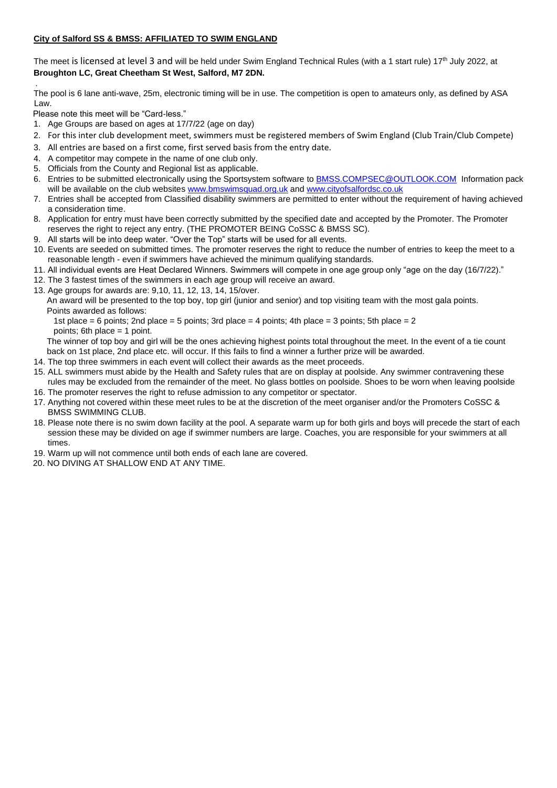#### **City of Salford SS & BMSS: AFFILIATED TO SWIM ENGLAND**

The meet is licensed at level 3 and will be held under Swim England Technical Rules (with a 1 start rule) 17<sup>th</sup> July 2022, at **Broughton LC, Great Cheetham St West, Salford, M7 2DN.**

The pool is 6 lane anti-wave, 25m, electronic timing will be in use. The competition is open to amateurs only, as defined by ASA Law.

Please note this meet will be "Card-less."

.

- 1. Age Groups are based on ages at 17/7/22 (age on day)
- 2. For this inter club development meet, swimmers must be registered members of Swim England (Club Train/Club Compete)
- 3. All entries are based on a first come, first served basis from the entry date.
- 4. A competitor may compete in the name of one club only.
- 5. Officials from the County and Regional list as applicable.
- 6. Entries to be submitted electronically using the Sportsystem software to [BMSS.COMPSEC@OUTLOOK.COM](mailto:BMSS.COMPSEC@OUTLOOK.COM) Information pack will be available on the club websites [www.bmswimsquad.org.uk](http://www.bmswimsquad.org.uk/) an[d www.cityofsalfordsc.co.uk](http://www.cityofsalfordsc.co.uk/)
- 7. Entries shall be accepted from Classified disability swimmers are permitted to enter without the requirement of having achieved a consideration time.
- 8. Application for entry must have been correctly submitted by the specified date and accepted by the Promoter. The Promoter reserves the right to reject any entry. (THE PROMOTER BEING CoSSC & BMSS SC).
- 9. All starts will be into deep water. "Over the Top" starts will be used for all events.
- 10. Events are seeded on submitted times. The promoter reserves the right to reduce the number of entries to keep the meet to a reasonable length - even if swimmers have achieved the minimum qualifying standards.
- 11. All individual events are Heat Declared Winners. Swimmers will compete in one age group only "age on the day (16/7/22)."
- 12. The 3 fastest times of the swimmers in each age group will receive an award.
- 13. Age groups for awards are: 9,10, 11, 12, 13, 14, 15/over.
	- An award will be presented to the top boy, top girl (junior and senior) and top visiting team with the most gala points. Points awarded as follows:

1st place  $= 6$  points; 2nd place  $= 5$  points; 3rd place  $= 4$  points; 4th place  $= 3$  points; 5th place  $= 2$ points; 6th place = 1 point.

The winner of top boy and girl will be the ones achieving highest points total throughout the meet. In the event of a tie count back on 1st place, 2nd place etc. will occur. If this fails to find a winner a further prize will be awarded.

- 14. The top three swimmers in each event will collect their awards as the meet proceeds.
- 15. ALL swimmers must abide by the Health and Safety rules that are on display at poolside. Any swimmer contravening these rules may be excluded from the remainder of the meet. No glass bottles on poolside. Shoes to be worn when leaving poolside
- 16. The promoter reserves the right to refuse admission to any competitor or spectator.
- 17. Anything not covered within these meet rules to be at the discretion of the meet organiser and/or the Promoters CoSSC & BMSS SWIMMING CLUB.
- 18. Please note there is no swim down facility at the pool. A separate warm up for both girls and boys will precede the start of each session these may be divided on age if swimmer numbers are large. Coaches, you are responsible for your swimmers at all times.
- 19. Warm up will not commence until both ends of each lane are covered.
- 20. NO DIVING AT SHALLOW END AT ANY TIME.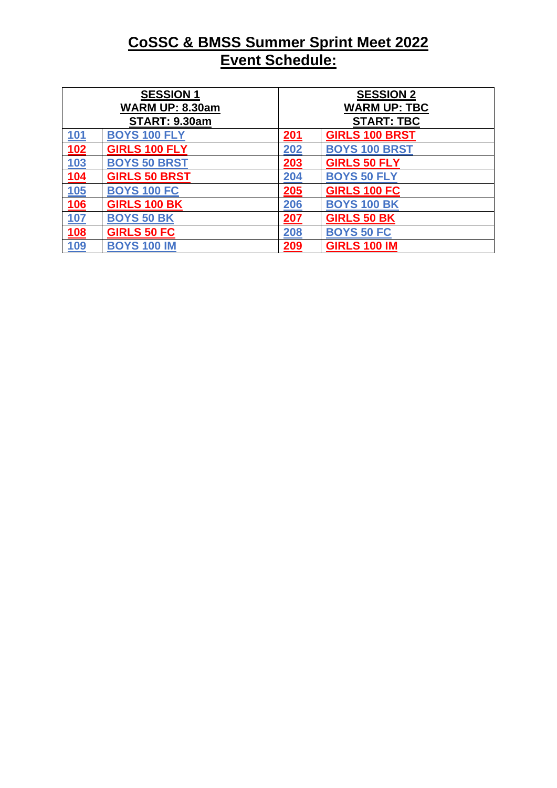## **CoSSC & BMSS Summer Sprint Meet 2022 Event Schedule:**

| <b>SESSION 1</b><br><b>WARM UP: 8.30am</b> |                      |            | <b>SESSION 2</b><br><b>WARM UP: TBC</b> |  |  |
|--------------------------------------------|----------------------|------------|-----------------------------------------|--|--|
|                                            | <b>START: 9.30am</b> |            | <b>START: TBC</b>                       |  |  |
| <b>101</b>                                 | <b>BOYS 100 FLY</b>  | 201        | <b>GIRLS 100 BRST</b>                   |  |  |
| 102                                        | <b>GIRLS 100 FLY</b> | 202        | <b>BOYS 100 BRST</b>                    |  |  |
| <u>103</u>                                 | <b>BOYS 50 BRST</b>  | 203        | <b>GIRLS 50 FLY</b>                     |  |  |
| 104                                        | <b>GIRLS 50 BRST</b> | 204        | <b>BOYS 50 FLY</b>                      |  |  |
| <u>105</u>                                 | <b>BOYS 100 FC</b>   | 205        | <b>GIRLS 100 FC</b>                     |  |  |
| <u>106</u>                                 | <b>GIRLS 100 BK</b>  | <b>206</b> | <b>BOYS 100 BK</b>                      |  |  |
| <u>107</u>                                 | <b>BOYS 50 BK</b>    | 207        | <b>GIRLS 50 BK</b>                      |  |  |
| <b>108</b>                                 | <b>GIRLS 50 FC</b>   | 208        | <b>BOYS 50 FC</b>                       |  |  |
| 109                                        | <b>BOYS 100 IM</b>   | 209        | <b>GIRLS 100 IM</b>                     |  |  |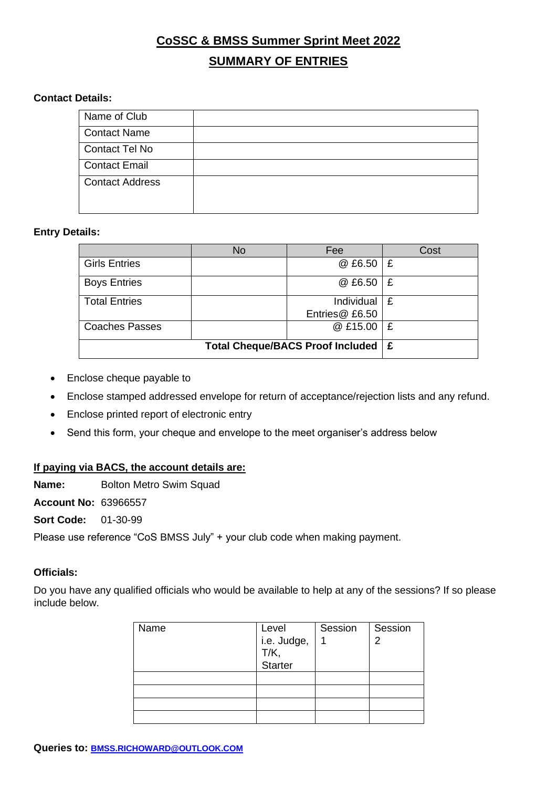## **CoSSC & BMSS Summer Sprint Meet 2022 SUMMARY OF ENTRIES**

#### **Contact Details:**

| Name of Club           |  |
|------------------------|--|
| <b>Contact Name</b>    |  |
| <b>Contact Tel No</b>  |  |
| <b>Contact Email</b>   |  |
| <b>Contact Address</b> |  |

#### **Entry Details:**

|                       | <b>No</b> | Fee                          | Cost |
|-----------------------|-----------|------------------------------|------|
| <b>Girls Entries</b>  |           | @ £6.50                      | -£   |
| <b>Boys Entries</b>   |           | @ £6.50                      | £    |
| <b>Total Entries</b>  |           | Individual<br>Entries@ £6.50 | Ι£   |
| <b>Coaches Passes</b> |           | @ £15.00                     | Ι£   |
|                       | Ι£        |                              |      |

- Enclose cheque payable to
- Enclose stamped addressed envelope for return of acceptance/rejection lists and any refund.
- Enclose printed report of electronic entry
- Send this form, your cheque and envelope to the meet organiser's address below

#### **If paying via BACS, the account details are:**

**Name:** Bolton Metro Swim Squad

**Account No:** 63966557

**Sort Code:** 01-30-99

Please use reference "CoS BMSS July" + your club code when making payment.

### **Officials:**

Do you have any qualified officials who would be available to help at any of the sessions? If so please include below.

| Name |                      | Session | Session |
|------|----------------------|---------|---------|
|      | Level<br>i.e. Judge, |         | っ       |
|      | T/K,<br>Starter      |         |         |
|      |                      |         |         |
|      |                      |         |         |
|      |                      |         |         |
|      |                      |         |         |
|      |                      |         |         |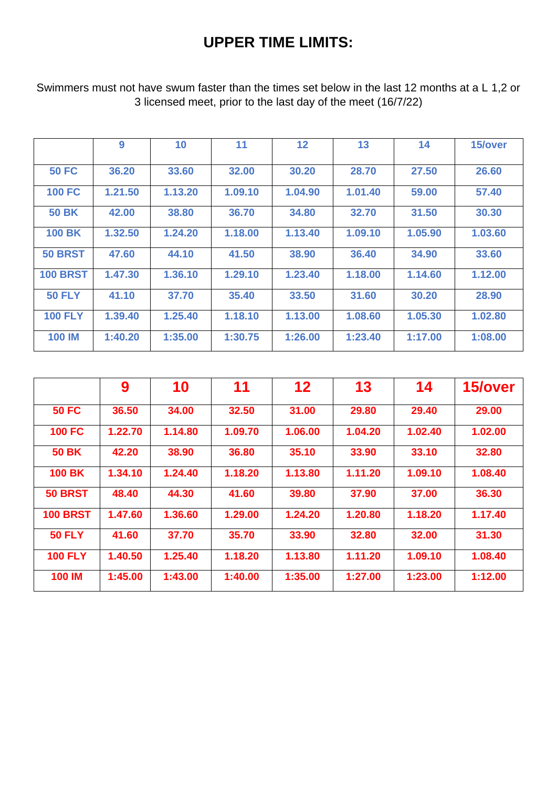## **UPPER TIME LIMITS:**

Swimmers must not have swum faster than the times set below in the last 12 months at a L 1,2 or 3 licensed meet, prior to the last day of the meet (16/7/22)

|                 | 9       | 10      | 11      | $12 \,$ | 13      | 14      | 15/over |
|-----------------|---------|---------|---------|---------|---------|---------|---------|
| <b>50 FC</b>    | 36.20   | 33.60   | 32.00   | 30.20   | 28.70   | 27.50   | 26.60   |
| <b>100 FC</b>   | 1.21.50 | 1.13.20 | 1.09.10 | 1.04.90 | 1.01.40 | 59.00   | 57.40   |
| <b>50 BK</b>    | 42.00   | 38.80   | 36.70   | 34.80   | 32.70   | 31.50   | 30.30   |
| <b>100 BK</b>   | 1.32.50 | 1.24.20 | 1.18.00 | 1.13.40 | 1.09.10 | 1.05.90 | 1.03.60 |
| <b>50 BRST</b>  | 47.60   | 44.10   | 41.50   | 38.90   | 36.40   | 34.90   | 33.60   |
| <b>100 BRST</b> | 1.47.30 | 1.36.10 | 1.29.10 | 1.23.40 | 1.18.00 | 1.14.60 | 1.12.00 |
| <b>50 FLY</b>   | 41.10   | 37.70   | 35.40   | 33.50   | 31.60   | 30.20   | 28.90   |
| <b>100 FLY</b>  | 1.39.40 | 1.25.40 | 1.18.10 | 1.13.00 | 1.08.60 | 1.05.30 | 1.02.80 |
| <b>100 IM</b>   | 1:40.20 | 1:35.00 | 1:30.75 | 1:26.00 | 1:23.40 | 1:17.00 | 1:08.00 |

|                 | 9       | 10      | 11      | $12 \ \mathsf{ }$ | 13      | 14      | 15/over |
|-----------------|---------|---------|---------|-------------------|---------|---------|---------|
| <b>50 FC</b>    | 36.50   | 34.00   | 32.50   | 31.00             | 29.80   | 29.40   | 29.00   |
| <b>100 FC</b>   | 1.22.70 | 1.14.80 | 1.09.70 | 1.06.00           | 1.04.20 | 1.02.40 | 1.02.00 |
| <b>50 BK</b>    | 42.20   | 38.90   | 36.80   | 35.10             | 33.90   | 33.10   | 32.80   |
| <b>100 BK</b>   | 1.34.10 | 1.24.40 | 1.18.20 | 1.13.80           | 1.11.20 | 1.09.10 | 1.08.40 |
| <b>50 BRST</b>  | 48.40   | 44.30   | 41.60   | 39.80             | 37.90   | 37.00   | 36.30   |
| <b>100 BRST</b> | 1.47.60 | 1.36.60 | 1.29.00 | 1.24.20           | 1.20.80 | 1.18.20 | 1.17.40 |
| <b>50 FLY</b>   | 41.60   | 37.70   | 35.70   | 33.90             | 32.80   | 32.00   | 31.30   |
| <b>100 FLY</b>  | 1.40.50 | 1.25.40 | 1.18.20 | 1.13.80           | 1.11.20 | 1.09.10 | 1.08.40 |
| <b>100 IM</b>   | 1:45.00 | 1:43.00 | 1:40.00 | 1:35.00           | 1:27.00 | 1:23.00 | 1:12.00 |